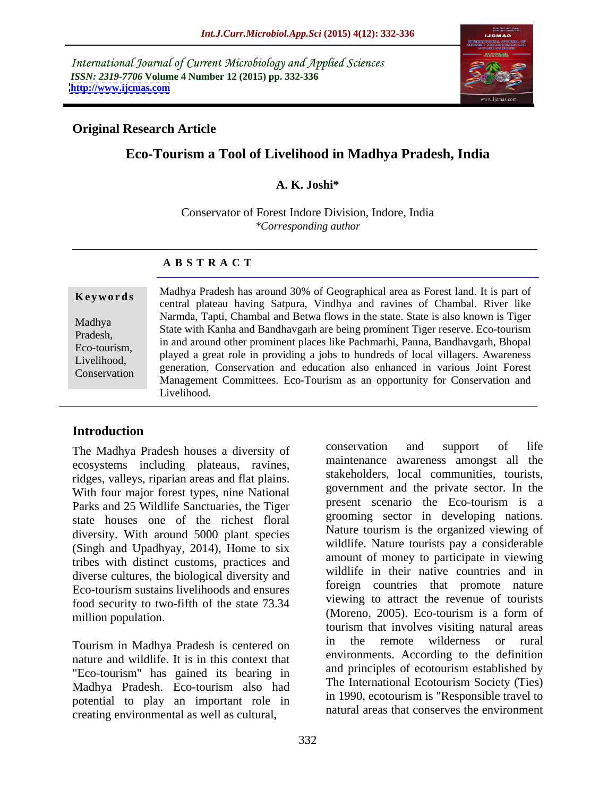International Journal of Current Microbiology and Applied Sciences *ISSN: 2319-7706* **Volume 4 Number 12 (2015) pp. 332-336 <http://www.ijcmas.com>**



# **Original Research Article**

# **Eco-Tourism a Tool of Livelihood in Madhya Pradesh, India**

# **A. K. Joshi\***

Conservator of Forest Indore Division, Indore, India *\*Corresponding author*

### **A B S T R A C T**

Conservation

Madhya Pradesh has around 30% of Geographical area as Forest land. It is part of **Keywords** Madilya Fradesh has around 50% of Geographical area as Forest faild. It is part of central plateau having Satpura, Vindhya and ravines of Chambal. River like Narmda, Tapti, Chambal and Betwa flows in the state. State is also known is Tiger Madhya<br>Bradosh State with Kanha and Bandhavgarh are being prominent Tiger reserve. Eco-tourism in and around other prominent places like Pachmarhi, Panna, Bandhavgarh, Bhopal Pradesh, Eco-tourism,<br>I ivelibood a great role in providing a jobs to hundreds of local villagers. Awareness Livelihood, a played a great fole in providing a jobs to hundreds of local vinagers. Awareness<br>Conservation generation, Conservation and education also enhanced in various Joint Forest Management Committees. Eco-Tourism as an opportunity for Conservation and Livelihood.

# **Introduction**

ecosystems including plateaus, ravines, ridges, valleys, riparian areas and flat plains. With four major forest types, nine National Parks and 25 Wildlife Sanctuaries, the Tiger state houses one of the richest floral diversity. With around 5000 plant species (Singh and Upadhyay, 2014), Home to six tribes with distinct customs, practices and diverse cultures, the biological diversity and Eco-tourism sustains livelihoods and ensures food security to two-fifth of the state 73.34

nature and wildlife. It is in this context that "Eco-tourism" has gained its bearing in Madhya Pradesh. Eco-tourism also had potential to play an important role in creating environmental as well as cultural,

The Madhya Pradesh houses a diversity of conservation and support of life million population. (Moreno, 2005). Eco-tourism is a form of Tourism in Madhya Pradesh is centered on  $\frac{1}{2}$  in the remote wilderness or rural conservation and support of life maintenance awareness amongst all the stakeholders, local communities, tourists, government and the private sector. In the present scenario the Eco-tourism is a grooming sector in developing nations. Nature tourism is the organized viewing of wildlife. Nature tourists pay a considerable amount of money to participate in viewing wildlife in their native countries and in foreign countries that promote nature viewing to attract the revenue of tourists tourism that involves visiting natural areas in the remote wilderness or rural environments. According to the definition and principles of ecotourism established by The International Ecotourism Society (Ties) in 1990, ecotourism is "Responsible travel to natural areas that conserves the environment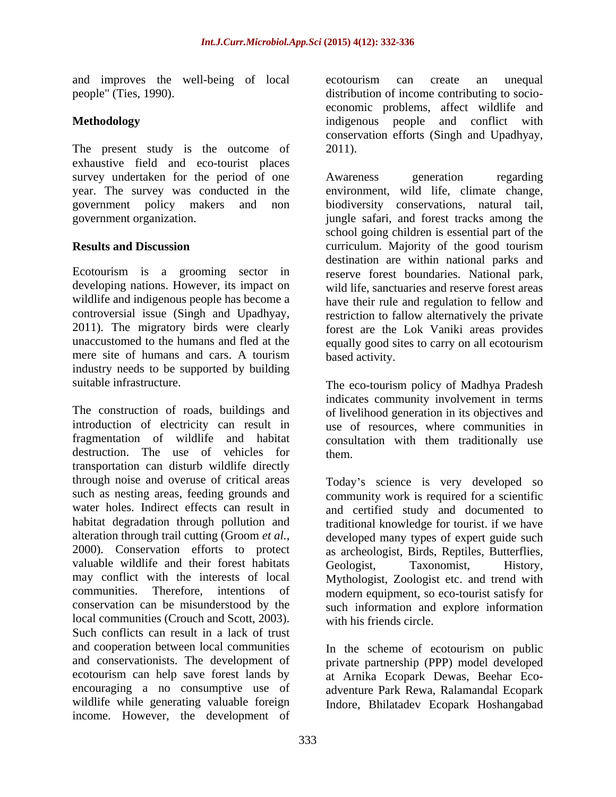and improves the well-being of local

The present study is the outcome of 2011). exhaustive field and eco-tourist places survey undertaken for the period of one Awareness generation regarding

industry needs to be supported by building

The construction of roads, buildings and of livelihood generation in its objectives and introduction of electricity can result in use of resources, where communities in fragmentation of wildlife and habitat consultation with them traditionally use destruction. The use of vehicles for them. transportation can disturb wildlife directly through noise and overuse of critical areas Today's science is very developed so such as nesting areas, feeding grounds and community work is required for a scientific water holes. Indirect effects can result in and certified study and documented to habitat degradation through pollution and traditional knowledge for tourist. if we have alteration through trail cutting (Groom *et al.*, developed many types of expert guide such 2000). Conservation efforts to protect as archeologist, Birds, Reptiles, Butterflies, valuable wildlife and their forest habitats Geologist. Taxonomist, History, may conflict with the interests of local Mythologist, Zoologist etc. and trend with communities. Therefore, intentions of modern equipment, so eco-tourist satisfy for conservation can be misunderstood by the such information and explore information local communities (Crouch and Scott, 2003). Such conflicts can result in a lack of trust and cooperation between local communities and conservationists. The development of private partnership (PPP) model developed ecotourism can help save forest lands by at Arnika Ecopark Dewas, Beehar Eco encouraging a no consumptive use of adventure Park Rewa, Ralamandal Ecopark wildlife while generating valuable foreign Indore, Bhilatadev Ecopark Hoshangabad income. However, the development of

people" (Ties, 1990). distribution of income contributing to socio- **Methodology** indigenous people and conflict with ecotourism can create an unequal economic problems, affect wildlife and conservation efforts (Singh and Upadhyay, 2011).

year. The survey was conducted in the environment, wild life, climate change, government policy makers and non biodiversity conservations, natural tail, government organization. jungle safari, and forest tracks among the **Results and Discussion**  curriculum. Majority of the good tourism Ecotourism is a grooming sector in reserve forest boundaries. National park, developing nations. However, its impact on wild life, sanctuaries and reserve forest areas wildlife and indigenous people has become a have their rule and regulation to fellow and controversial issue (Singh and Upadhyay, restriction to fallow alternatively the private 2011). The migratory birds were clearly forest are the Lok Vaniki areas provides unaccustomed to the humans and fled at the equally good sites to carry on all ecotourism mere site of humans and cars. A tourism based activity. Awareness generation regarding school going children is essential part of the destination are within national parks and based activity.

suitable infrastructure. The eco-tourism policy of Madhya Pradesh indicates community involvement in terms them.

> developed many types of expert guide such as archeologist, Birds, Reptiles, Butterflies, Geologist, Taxonomist, History, with his friends circle.

In the scheme of ecotourism on public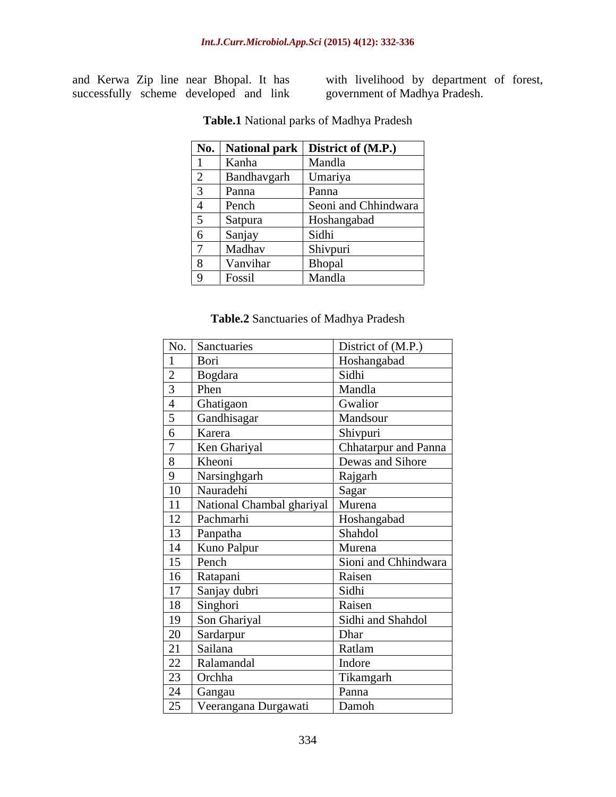and Kerwa Zip line near Bhopal. It has successfully scheme developed and link with livelihood by department of forest, government of Madhya Pradesh.

|     |             | No.   National park   District of $(M.P.)$ |
|-----|-------------|--------------------------------------------|
|     | Kanha       | Mandla                                     |
| ∽   | Bandhavgarh | Umariya                                    |
|     | Panna       | Panna                                      |
|     | Pench       | Seoni and Chhindwara                       |
|     | Satpura     | Hoshangabad                                |
| n   | Sanjay      | Sidhi                                      |
|     | Madhav      | Shivpuri                                   |
| - റ | Vanvihar    | Bhopal                                     |
|     | Fossil      | Mandla                                     |

**Table.1** National parks of Madhya Pradesh

### **Table.2** Sanctuaries of Madhya Pradesh

|              | No. Sanctuaries                                                                                                     | District of (M.P.)   |
|--------------|---------------------------------------------------------------------------------------------------------------------|----------------------|
|              | Bori                                                                                                                | Hoshangabad          |
|              | Bogdara                                                                                                             | Sidhi                |
|              | Phen                                                                                                                | Mandla               |
|              | Ghatigaon                                                                                                           | Gwalior              |
|              | Gandhisagar                                                                                                         | Mandsour             |
| 6            | Karera                                                                                                              | Shivpuri             |
|              | Ken Ghariyal                                                                                                        | Chhatarpur and Panna |
|              | Kheoni                                                                                                              | Dewas and Sihore     |
| $\mathbf{Q}$ | Narsinghgarh                                                                                                        | Rajgarh              |
|              | 10 Nauradehi                                                                                                        | Sagar                |
| 11           | National Chambal ghariyal   Murena                                                                                  |                      |
|              | 12 Pachmarhi                                                                                                        | Hoshangabad          |
|              |                                                                                                                     | Shahdol              |
|              |                                                                                                                     | Murena               |
|              | 12 Fachmann<br>13 Panpatha<br>14 Kuno Palpur<br>15 Pench                                                            | Sioni and Chhindwara |
|              |                                                                                                                     | Raisen               |
|              |                                                                                                                     | Sidhi                |
|              | 16 Ratapani<br>17 Sanjay dubri<br>18 Singhori                                                                       | Raisen               |
|              | 19   Son Ghariyal                                                                                                   | Sidhi and Shahdol    |
|              | 19 Son Ghariyar<br>20 Sardarpur<br>21 Sailana<br>22 Ralamandal<br>23 Orchha<br>24 Gangau<br>25 Veerangana Durgawati | Dhar                 |
|              |                                                                                                                     | Ratlam               |
|              |                                                                                                                     | Indore               |
|              |                                                                                                                     | Tikamgarh            |
|              |                                                                                                                     | Panna                |
|              |                                                                                                                     | Damoh                |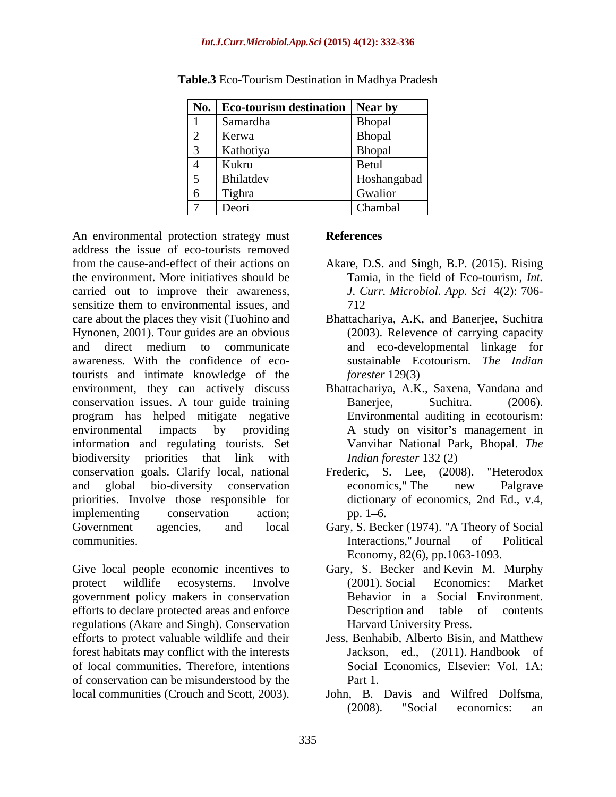| No.                      | <b>Eco-tourism destination</b> Near by |               |
|--------------------------|----------------------------------------|---------------|
|                          | Samardha                               | Bhopal        |
| $\sim$<br>$\sim$         | Kerwa                                  | Bhopal        |
| ◡                        | Kathotiya                              | <b>Bhopal</b> |
|                          | Kukru                                  | Betul         |
| ັ                        | Bhilatdev                              | Hoshangabad   |
| $6 \,$                   | Tighra                                 | Gwalior       |
| $\overline{\phantom{0}}$ | Deori                                  | Chambal       |

**Table.3** Eco-Tourism Destination in Madhya Pradesh

An environmental protection strategy must **References** address the issue of eco-tourists removed from the cause-and-effect of their actions on Akare, D.S. and Singh, B.P. (2015). Rising the environment. More initiatives should be carried out to improve their awareness, sensitize them to environmental issues, and  $712$ care about the places they visit (Tuohino and Bhattachariya, A.K, and Banerjee, Suchitra Hynonen, 2001). Tour guides are an obvious and direct medium to communicate and eco-developmental linkage for awareness. With the confidence of ecotourists and intimate knowledge of the *forester* 129(3) environment, they can actively discuss conservation issues. A tour guide training program has helped mitigate negative environmental impacts by providing A study on visitor's management in information and regulating tourists. Set biodiversity priorities that link with conservation goals. Clarify local, national Frederic, S. Lee, (2008). "Heterodox and global bio-diversity conservation priorities. Involve those responsible for implementing conservation action; pp. 1–6. Government agencies, and local Gary, S. Becker (1974). "A Theory of Social communities. Interactions," Journal of Political

Give local people economic incentives to Gary, S. Becker and Kevin M. Murphy protect wildlife ecosystems. Involve (2001). Social Economics: Market government policy makers in conservation efforts to declare protected areas and enforce<br>Description and table of contents regulations (Akare and Singh). Conservation efforts to protect valuable wildlife and their Jess, Benhabib, Alberto Bisin, and Matthew forest habitats may conflict with the interests of local communities. Therefore, intentions of conservation can be misunderstood by the local communities (Crouch and Scott, 2003).

### **References**

- Tamia, in the field of Eco-tourism, *Int. J. Curr. Microbiol. App. Sci* 4(2): 706- 712
- (2003). Relevence of carrying capacity sustainable Ecotourism. *The Indian forester* 129(3)
- Bhattachariya, A.K., Saxena, Vandana and Banerjee, Suchitra. (2006). Environmental auditing in ecotourism: Vanvihar National Park, Bhopal. *The Indian forester* 132 (2)
- Frederic, S. Lee, (2008). "Heterodox economics," The new Palgrave dictionary of economics, 2nd Ed., v.4, pp.  $1 - 6$ .
- Economy, 82(6), pp.1063-1093.
- (2001). Social Economics: Market Behavior in a Social Environment. Description and table of contents Harvard University Press.
- Jackson, ed., (2011). Handbook of Social Economics, Elsevier: Vol. 1A: Part 1.
- John, B. Davis and Wilfred Dolfsma, (2008). "Social economics: an